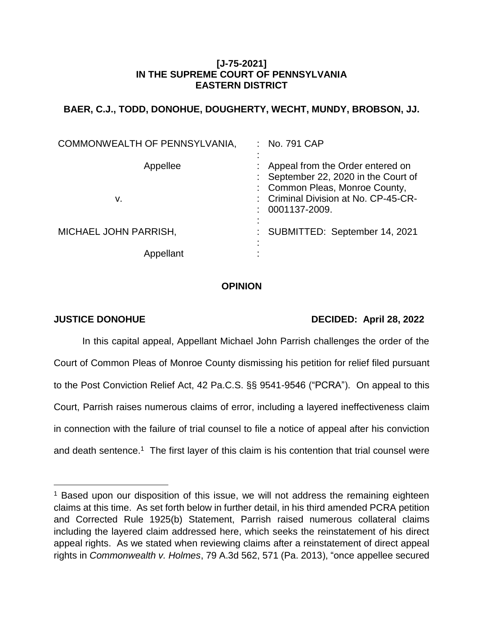## **[J-75-2021] IN THE SUPREME COURT OF PENNSYLVANIA EASTERN DISTRICT**

# **BAER, C.J., TODD, DONOHUE, DOUGHERTY, WECHT, MUNDY, BROBSON, JJ.**

| COMMONWEALTH OF PENNSYLVANIA, | No. 791 CAP<br>t.                                                                                                                                                   |
|-------------------------------|---------------------------------------------------------------------------------------------------------------------------------------------------------------------|
| Appellee<br>v.                | Appeal from the Order entered on<br>: September 22, 2020 in the Court of<br>: Common Pleas, Monroe County,<br>: Criminal Division at No. CP-45-CR-<br>0001137-2009. |
| MICHAEL JOHN PARRISH,         | : SUBMITTED: September 14, 2021                                                                                                                                     |
| Appellant                     |                                                                                                                                                                     |

## **OPINION**

l

# **JUSTICE DONOHUE DECIDED: April 28, 2022**

In this capital appeal, Appellant Michael John Parrish challenges the order of the Court of Common Pleas of Monroe County dismissing his petition for relief filed pursuant to the Post Conviction Relief Act, 42 Pa.C.S. §§ 9541-9546 ("PCRA"). On appeal to this Court, Parrish raises numerous claims of error, including a layered ineffectiveness claim in connection with the failure of trial counsel to file a notice of appeal after his conviction and death sentence.<sup>1</sup> The first layer of this claim is his contention that trial counsel were

<sup>&</sup>lt;sup>1</sup> Based upon our disposition of this issue, we will not address the remaining eighteen claims at this time. As set forth below in further detail, in his third amended PCRA petition and Corrected Rule 1925(b) Statement, Parrish raised numerous collateral claims including the layered claim addressed here, which seeks the reinstatement of his direct appeal rights. As we stated when reviewing claims after a reinstatement of direct appeal rights in *Commonwealth v. Holmes*, 79 A.3d 562, 571 (Pa. 2013), "once appellee secured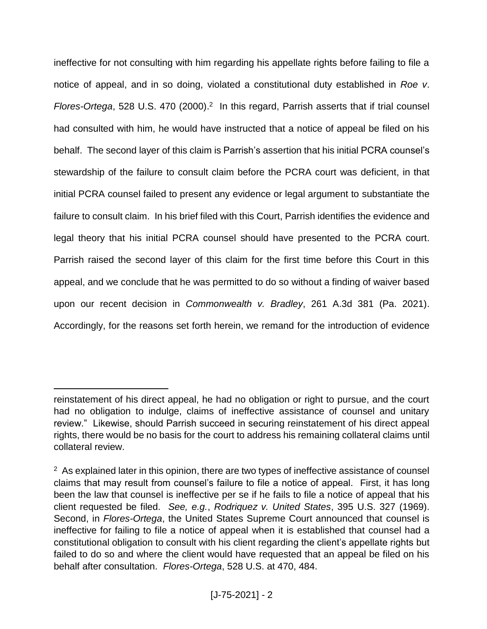ineffective for not consulting with him regarding his appellate rights before failing to file a notice of appeal, and in so doing, violated a constitutional duty established in *Roe v*. Flores-Ortega, 528 U.S. 470 (2000).<sup>2</sup> In this regard, Parrish asserts that if trial counsel had consulted with him, he would have instructed that a notice of appeal be filed on his behalf. The second layer of this claim is Parrish's assertion that his initial PCRA counsel's stewardship of the failure to consult claim before the PCRA court was deficient, in that initial PCRA counsel failed to present any evidence or legal argument to substantiate the failure to consult claim. In his brief filed with this Court, Parrish identifies the evidence and legal theory that his initial PCRA counsel should have presented to the PCRA court. Parrish raised the second layer of this claim for the first time before this Court in this appeal, and we conclude that he was permitted to do so without a finding of waiver based upon our recent decision in *Commonwealth v. Bradley*, 261 A.3d 381 (Pa. 2021). Accordingly, for the reasons set forth herein, we remand for the introduction of evidence

reinstatement of his direct appeal, he had no obligation or right to pursue, and the court had no obligation to indulge, claims of ineffective assistance of counsel and unitary review." Likewise, should Parrish succeed in securing reinstatement of his direct appeal rights, there would be no basis for the court to address his remaining collateral claims until collateral review.

<sup>&</sup>lt;sup>2</sup> As explained later in this opinion, there are two types of ineffective assistance of counsel claims that may result from counsel's failure to file a notice of appeal. First, it has long been the law that counsel is ineffective per se if he fails to file a notice of appeal that his client requested be filed. *See, e.g.*, *Rodriquez v. United States*, 395 U.S. 327 (1969). Second, in *Flores-Ortega*, the United States Supreme Court announced that counsel is ineffective for failing to file a notice of appeal when it is established that counsel had a constitutional obligation to consult with his client regarding the client's appellate rights but failed to do so and where the client would have requested that an appeal be filed on his behalf after consultation. *Flores-Ortega*, 528 U.S. at 470, 484.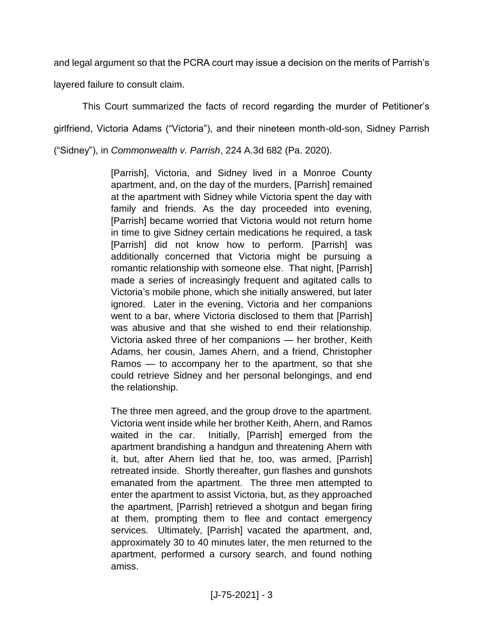and legal argument so that the PCRA court may issue a decision on the merits of Parrish's

layered failure to consult claim.

This Court summarized the facts of record regarding the murder of Petitioner's girlfriend, Victoria Adams ("Victoria"), and their nineteen month-old-son, Sidney Parrish ("Sidney"), in *Commonwealth v. Parrish*, 224 A.3d 682 (Pa. 2020).

> [Parrish], Victoria, and Sidney lived in a Monroe County apartment, and, on the day of the murders, [Parrish] remained at the apartment with Sidney while Victoria spent the day with family and friends. As the day proceeded into evening, [Parrish] became worried that Victoria would not return home in time to give Sidney certain medications he required, a task [Parrish] did not know how to perform. [Parrish] was additionally concerned that Victoria might be pursuing a romantic relationship with someone else. That night, [Parrish] made a series of increasingly frequent and agitated calls to Victoria's mobile phone, which she initially answered, but later ignored. Later in the evening, Victoria and her companions went to a bar, where Victoria disclosed to them that [Parrish] was abusive and that she wished to end their relationship. Victoria asked three of her companions — her brother, Keith Adams, her cousin, James Ahern, and a friend, Christopher Ramos — to accompany her to the apartment, so that she could retrieve Sidney and her personal belongings, and end the relationship.

> The three men agreed, and the group drove to the apartment. Victoria went inside while her brother Keith, Ahern, and Ramos waited in the car. Initially, [Parrish] emerged from the apartment brandishing a handgun and threatening Ahern with it, but, after Ahern lied that he, too, was armed, [Parrish] retreated inside. Shortly thereafter, gun flashes and gunshots emanated from the apartment. The three men attempted to enter the apartment to assist Victoria, but, as they approached the apartment, [Parrish] retrieved a shotgun and began firing at them, prompting them to flee and contact emergency services. Ultimately, [Parrish] vacated the apartment, and, approximately 30 to 40 minutes later, the men returned to the apartment, performed a cursory search, and found nothing amiss.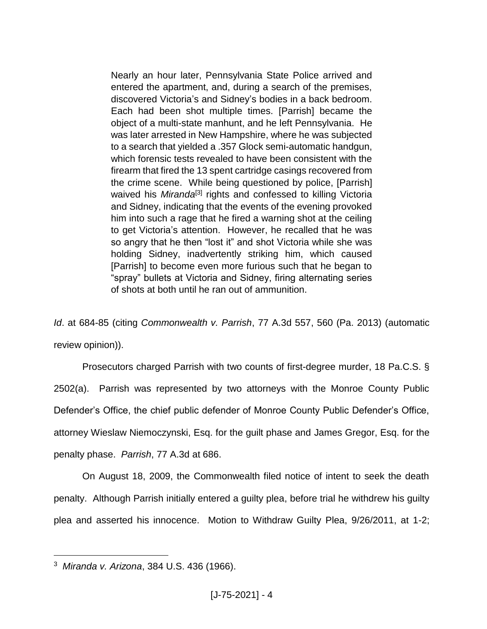Nearly an hour later, Pennsylvania State Police arrived and entered the apartment, and, during a search of the premises, discovered Victoria's and Sidney's bodies in a back bedroom. Each had been shot multiple times. [Parrish] became the object of a multi-state manhunt, and he left Pennsylvania. He was later arrested in New Hampshire, where he was subjected to a search that yielded a .357 Glock semi-automatic handgun, which forensic tests revealed to have been consistent with the firearm that fired the 13 spent cartridge casings recovered from the crime scene. While being questioned by police, [Parrish] waived his *Miranda*<sup>[3]</sup> rights and confessed to killing Victoria and Sidney, indicating that the events of the evening provoked him into such a rage that he fired a warning shot at the ceiling to get Victoria's attention. However, he recalled that he was so angry that he then "lost it" and shot Victoria while she was holding Sidney, inadvertently striking him, which caused [Parrish] to become even more furious such that he began to "spray" bullets at Victoria and Sidney, firing alternating series of shots at both until he ran out of ammunition.

*Id*. at 684-85 (citing *Commonwealth v. Parrish*, 77 A.3d 557, 560 (Pa. 2013) (automatic review opinion)).

Prosecutors charged Parrish with two counts of first-degree murder, 18 Pa.C.S. § 2502(a). Parrish was represented by two attorneys with the Monroe County Public Defender's Office, the chief public defender of Monroe County Public Defender's Office, attorney Wieslaw Niemoczynski, Esq. for the guilt phase and James Gregor, Esq. for the penalty phase. *Parrish*, 77 A.3d at 686.

On August 18, 2009, the Commonwealth filed notice of intent to seek the death penalty. Although Parrish initially entered a guilty plea, before trial he withdrew his guilty plea and asserted his innocence. Motion to Withdraw Guilty Plea, 9/26/2011, at 1-2;

<sup>3</sup> *Miranda v. Arizona*, 384 U.S. 436 (1966).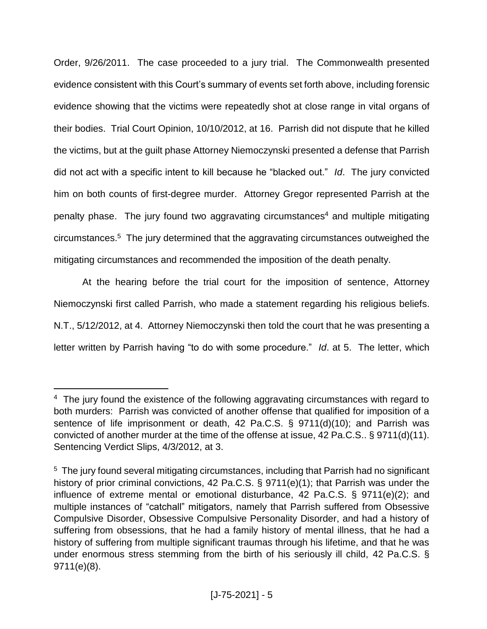Order, 9/26/2011. The case proceeded to a jury trial. The Commonwealth presented evidence consistent with this Court's summary of events set forth above, including forensic evidence showing that the victims were repeatedly shot at close range in vital organs of their bodies. Trial Court Opinion, 10/10/2012, at 16. Parrish did not dispute that he killed the victims, but at the guilt phase Attorney Niemoczynski presented a defense that Parrish did not act with a specific intent to kill because he "blacked out." *Id*. The jury convicted him on both counts of first-degree murder. Attorney Gregor represented Parrish at the penalty phase. The jury found two aggravating circumstances<sup>4</sup> and multiple mitigating circumstances. 5 The jury determined that the aggravating circumstances outweighed the mitigating circumstances and recommended the imposition of the death penalty.

At the hearing before the trial court for the imposition of sentence, Attorney Niemoczynski first called Parrish, who made a statement regarding his religious beliefs. N.T., 5/12/2012, at 4. Attorney Niemoczynski then told the court that he was presenting a letter written by Parrish having "to do with some procedure." *Id*. at 5. The letter, which

<sup>&</sup>lt;sup>4</sup> The jury found the existence of the following aggravating circumstances with regard to both murders: Parrish was convicted of another offense that qualified for imposition of a sentence of life imprisonment or death, 42 Pa.C.S. § 9711(d)(10); and Parrish was convicted of another murder at the time of the offense at issue, 42 Pa.C.S.. § 9711(d)(11). Sentencing Verdict Slips, 4/3/2012, at 3.

<sup>&</sup>lt;sup>5</sup> The jury found several mitigating circumstances, including that Parrish had no significant history of prior criminal convictions, 42 Pa.C.S. § 9711(e)(1); that Parrish was under the influence of extreme mental or emotional disturbance, 42 Pa.C.S. § 9711(e)(2); and multiple instances of "catchall" mitigators, namely that Parrish suffered from Obsessive Compulsive Disorder, Obsessive Compulsive Personality Disorder, and had a history of suffering from obsessions, that he had a family history of mental illness, that he had a history of suffering from multiple significant traumas through his lifetime, and that he was under enormous stress stemming from the birth of his seriously ill child, 42 Pa.C.S. § 9711(e)(8).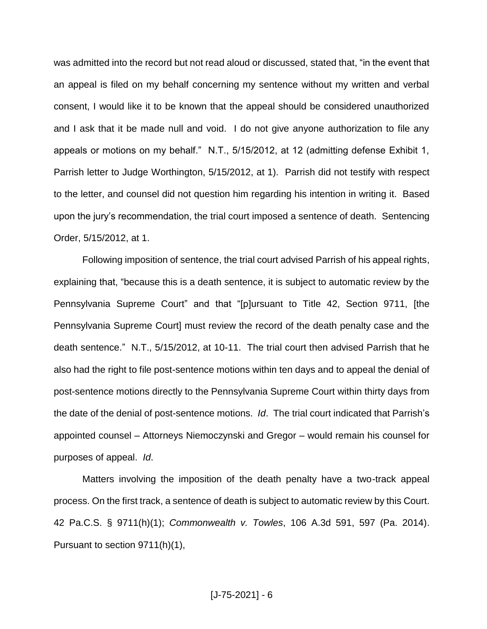was admitted into the record but not read aloud or discussed, stated that, "in the event that an appeal is filed on my behalf concerning my sentence without my written and verbal consent, I would like it to be known that the appeal should be considered unauthorized and I ask that it be made null and void. I do not give anyone authorization to file any appeals or motions on my behalf." N.T., 5/15/2012, at 12 (admitting defense Exhibit 1, Parrish letter to Judge Worthington, 5/15/2012, at 1). Parrish did not testify with respect to the letter, and counsel did not question him regarding his intention in writing it. Based upon the jury's recommendation, the trial court imposed a sentence of death. Sentencing Order, 5/15/2012, at 1.

Following imposition of sentence, the trial court advised Parrish of his appeal rights, explaining that, "because this is a death sentence, it is subject to automatic review by the Pennsylvania Supreme Court" and that "[p]ursuant to Title 42, Section 9711, [the Pennsylvania Supreme Court] must review the record of the death penalty case and the death sentence." N.T., 5/15/2012, at 10-11. The trial court then advised Parrish that he also had the right to file post-sentence motions within ten days and to appeal the denial of post-sentence motions directly to the Pennsylvania Supreme Court within thirty days from the date of the denial of post-sentence motions. *Id*. The trial court indicated that Parrish's appointed counsel – Attorneys Niemoczynski and Gregor – would remain his counsel for purposes of appeal. *Id*.

Matters involving the imposition of the death penalty have a two-track appeal process. On the first track, a sentence of death is subject to automatic review by this Court. 42 Pa.C.S. § 9711(h)(1); *Commonwealth v. Towles*, 106 A.3d 591, 597 (Pa. 2014). Pursuant to section 9711(h)(1),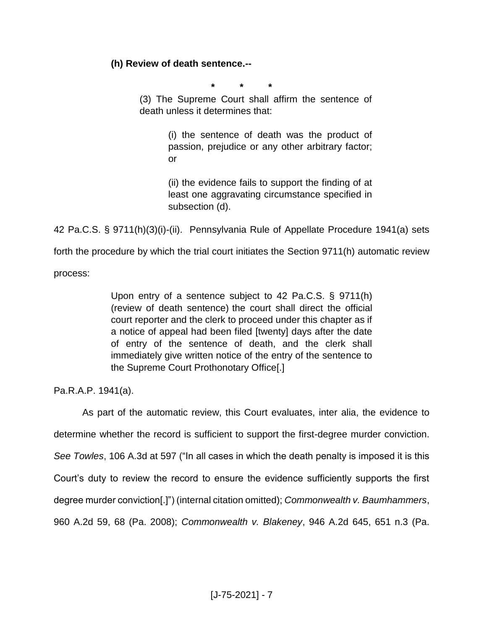## **(h) Review of death sentence.--**

**\* \* \***

(3) The Supreme Court shall affirm the sentence of death unless it determines that:

> (i) the sentence of death was the product of passion, prejudice or any other arbitrary factor; or

> (ii) the evidence fails to support the finding of at least one aggravating circumstance specified in subsection (d).

42 Pa.C.S. § 9711(h)(3)(i)-(ii). Pennsylvania Rule of Appellate Procedure 1941(a) sets

forth the procedure by which the trial court initiates the Section 9711(h) automatic review

process:

Upon entry of a sentence subject to 42 Pa.C.S. § 9711(h) (review of death sentence) the court shall direct the official court reporter and the clerk to proceed under this chapter as if a notice of appeal had been filed [twenty] days after the date of entry of the sentence of death, and the clerk shall immediately give written notice of the entry of the sentence to the Supreme Court Prothonotary Office[.]

Pa.R.A.P. 1941(a).

As part of the automatic review, this Court evaluates, inter alia, the evidence to determine whether the record is sufficient to support the first-degree murder conviction. *See Towles*, 106 A.3d at 597 ("In all cases in which the death penalty is imposed it is this Court's duty to review the record to ensure the evidence sufficiently supports the first degree murder conviction[.]") (internal citation omitted); *Commonwealth v. Baumhammers*, 960 A.2d 59, 68 (Pa. 2008); *Commonwealth v. Blakeney*, 946 A.2d 645, 651 n.3 (Pa.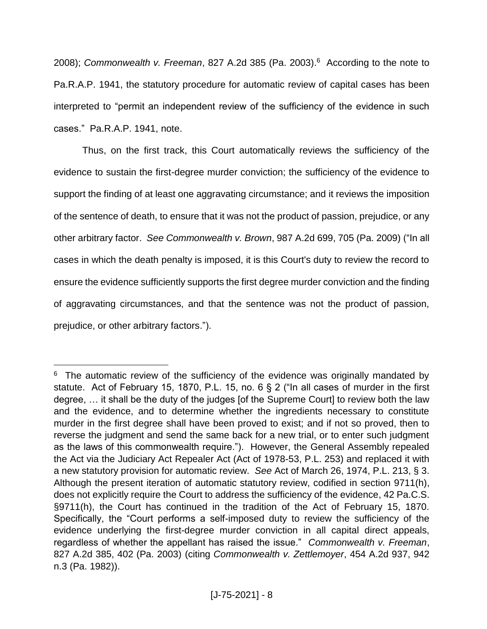2008); *Commonwealth v. Freeman*, 827 A.2d 385 (Pa. 2003).<sup>6</sup> According to the note to Pa.R.A.P. 1941, the statutory procedure for automatic review of capital cases has been interpreted to "permit an independent review of the sufficiency of the evidence in such cases." Pa.R.A.P. 1941, note.

Thus, on the first track, this Court automatically reviews the sufficiency of the evidence to sustain the first-degree murder conviction; the sufficiency of the evidence to support the finding of at least one aggravating circumstance; and it reviews the imposition of the sentence of death, to ensure that it was not the product of passion, prejudice, or any other arbitrary factor. *See Commonwealth v. Brown*, 987 A.2d 699, 705 (Pa. 2009) ("In all cases in which the death penalty is imposed, it is this Court's duty to review the record to ensure the evidence sufficiently supports the first degree murder conviction and the finding of aggravating circumstances, and that the sentence was not the product of passion, prejudice, or other arbitrary factors.").

<sup>&</sup>lt;sup>6</sup> The automatic review of the sufficiency of the evidence was originally mandated by statute. Act of February 15, 1870, P.L. 15, no. 6 § 2 ("In all cases of murder in the first degree, … it shall be the duty of the judges [of the Supreme Court] to review both the law and the evidence, and to determine whether the ingredients necessary to constitute murder in the first degree shall have been proved to exist; and if not so proved, then to reverse the judgment and send the same back for a new trial, or to enter such judgment as the laws of this commonwealth require."). However, the General Assembly repealed the Act via the Judiciary Act Repealer Act (Act of 1978-53, P.L. 253) and replaced it with a new statutory provision for automatic review. *See* Act of March 26, 1974, P.L. 213, § 3. Although the present iteration of automatic statutory review, codified in section 9711(h), does not explicitly require the Court to address the sufficiency of the evidence, 42 Pa.C.S. §9711(h), the Court has continued in the tradition of the Act of February 15, 1870. Specifically, the "Court performs a self-imposed duty to review the sufficiency of the evidence underlying the first-degree murder conviction in all capital direct appeals, regardless of whether the appellant has raised the issue." *Commonwealth v. Freeman*, 827 A.2d 385, 402 (Pa. 2003) (citing *Commonwealth v. Zettlemoyer*, 454 A.2d 937, 942 n.3 (Pa. 1982)).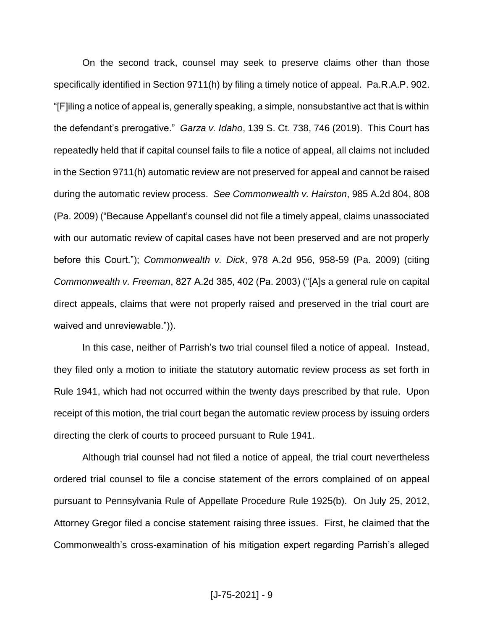On the second track, counsel may seek to preserve claims other than those specifically identified in Section 9711(h) by filing a timely notice of appeal. Pa.R.A.P. 902. "[F]iling a notice of appeal is, generally speaking, a simple, nonsubstantive act that is within the defendant's prerogative." *Garza v. Idaho*, 139 S. Ct. 738, 746 (2019). This Court has repeatedly held that if capital counsel fails to file a notice of appeal, all claims not included in the Section 9711(h) automatic review are not preserved for appeal and cannot be raised during the automatic review process. *See Commonwealth v. Hairston*, 985 A.2d 804, 808 (Pa. 2009) ("Because Appellant's counsel did not file a timely appeal, claims unassociated with our automatic review of capital cases have not been preserved and are not properly before this Court."); *Commonwealth v. Dick*, 978 A.2d 956, 958-59 (Pa. 2009) (citing *Commonwealth v. Freeman*, 827 A.2d 385, 402 (Pa. 2003) ("[A]s a general rule on capital direct appeals, claims that were not properly raised and preserved in the trial court are waived and unreviewable.")).

In this case, neither of Parrish's two trial counsel filed a notice of appeal. Instead, they filed only a motion to initiate the statutory automatic review process as set forth in Rule 1941, which had not occurred within the twenty days prescribed by that rule. Upon receipt of this motion, the trial court began the automatic review process by issuing orders directing the clerk of courts to proceed pursuant to Rule 1941.

Although trial counsel had not filed a notice of appeal, the trial court nevertheless ordered trial counsel to file a concise statement of the errors complained of on appeal pursuant to Pennsylvania Rule of Appellate Procedure Rule 1925(b). On July 25, 2012, Attorney Gregor filed a concise statement raising three issues. First, he claimed that the Commonwealth's cross-examination of his mitigation expert regarding Parrish's alleged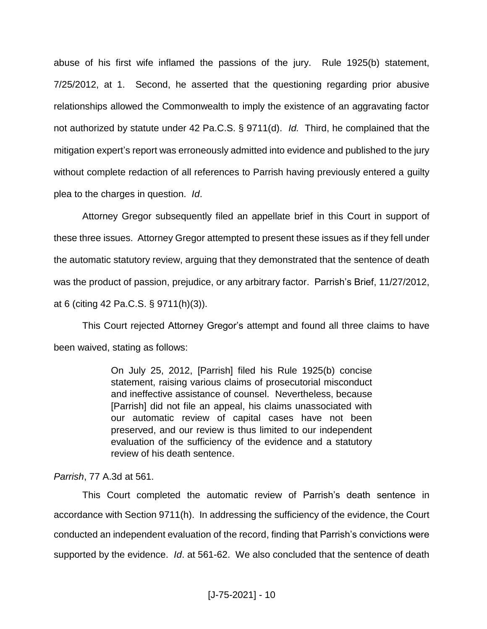abuse of his first wife inflamed the passions of the jury. Rule 1925(b) statement, 7/25/2012, at 1. Second, he asserted that the questioning regarding prior abusive relationships allowed the Commonwealth to imply the existence of an aggravating factor not authorized by statute under 42 Pa.C.S. § 9711(d). *Id.* Third, he complained that the mitigation expert's report was erroneously admitted into evidence and published to the jury without complete redaction of all references to Parrish having previously entered a guilty plea to the charges in question. *Id*.

Attorney Gregor subsequently filed an appellate brief in this Court in support of these three issues. Attorney Gregor attempted to present these issues as if they fell under the automatic statutory review, arguing that they demonstrated that the sentence of death was the product of passion, prejudice, or any arbitrary factor. Parrish's Brief, 11/27/2012, at 6 (citing 42 Pa.C.S. § 9711(h)(3)).

This Court rejected Attorney Gregor's attempt and found all three claims to have been waived, stating as follows:

> On July 25, 2012, [Parrish] filed his Rule 1925(b) concise statement, raising various claims of prosecutorial misconduct and ineffective assistance of counsel. Nevertheless, because [Parrish] did not file an appeal, his claims unassociated with our automatic review of capital cases have not been preserved, and our review is thus limited to our independent evaluation of the sufficiency of the evidence and a statutory review of his death sentence.

#### *Parrish*, 77 A.3d at 561.

This Court completed the automatic review of Parrish's death sentence in accordance with Section 9711(h). In addressing the sufficiency of the evidence, the Court conducted an independent evaluation of the record, finding that Parrish's convictions were supported by the evidence. *Id*. at 561-62. We also concluded that the sentence of death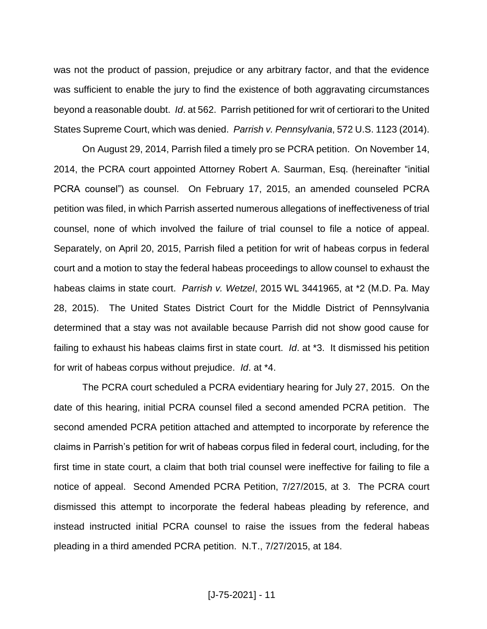was not the product of passion, prejudice or any arbitrary factor, and that the evidence was sufficient to enable the jury to find the existence of both aggravating circumstances beyond a reasonable doubt. *Id*. at 562. Parrish petitioned for writ of certiorari to the United States Supreme Court, which was denied. *Parrish v. Pennsylvania*, 572 U.S. 1123 (2014).

On August 29, 2014, Parrish filed a timely pro se PCRA petition. On November 14, 2014, the PCRA court appointed Attorney Robert A. Saurman, Esq. (hereinafter "initial PCRA counsel") as counsel. On February 17, 2015, an amended counseled PCRA petition was filed, in which Parrish asserted numerous allegations of ineffectiveness of trial counsel, none of which involved the failure of trial counsel to file a notice of appeal. Separately, on April 20, 2015, Parrish filed a petition for writ of habeas corpus in federal court and a motion to stay the federal habeas proceedings to allow counsel to exhaust the habeas claims in state court. *Parrish v. Wetzel*, 2015 WL 3441965, at \*2 (M.D. Pa. May 28, 2015). The United States District Court for the Middle District of Pennsylvania determined that a stay was not available because Parrish did not show good cause for failing to exhaust his habeas claims first in state court. *Id*. at \*3. It dismissed his petition for writ of habeas corpus without prejudice. *Id*. at \*4.

The PCRA court scheduled a PCRA evidentiary hearing for July 27, 2015. On the date of this hearing, initial PCRA counsel filed a second amended PCRA petition. The second amended PCRA petition attached and attempted to incorporate by reference the claims in Parrish's petition for writ of habeas corpus filed in federal court, including, for the first time in state court, a claim that both trial counsel were ineffective for failing to file a notice of appeal. Second Amended PCRA Petition, 7/27/2015, at 3. The PCRA court dismissed this attempt to incorporate the federal habeas pleading by reference, and instead instructed initial PCRA counsel to raise the issues from the federal habeas pleading in a third amended PCRA petition. N.T., 7/27/2015, at 184.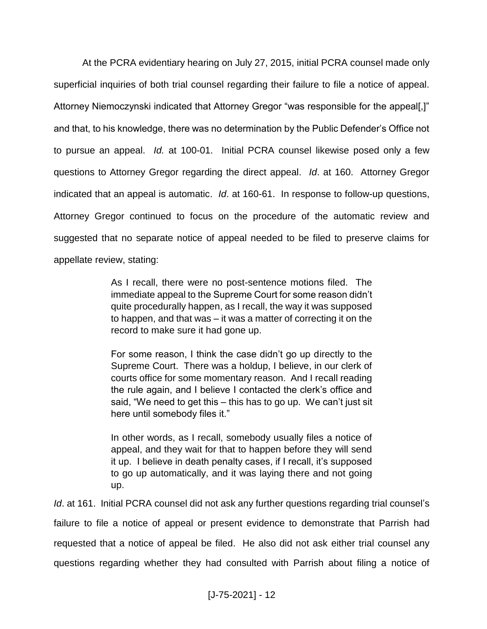At the PCRA evidentiary hearing on July 27, 2015, initial PCRA counsel made only superficial inquiries of both trial counsel regarding their failure to file a notice of appeal. Attorney Niemoczynski indicated that Attorney Gregor "was responsible for the appeal[,]" and that, to his knowledge, there was no determination by the Public Defender's Office not to pursue an appeal. *Id.* at 100-01. Initial PCRA counsel likewise posed only a few questions to Attorney Gregor regarding the direct appeal. *Id*. at 160. Attorney Gregor indicated that an appeal is automatic. *Id*. at 160-61. In response to follow-up questions, Attorney Gregor continued to focus on the procedure of the automatic review and suggested that no separate notice of appeal needed to be filed to preserve claims for appellate review, stating:

> As I recall, there were no post-sentence motions filed. The immediate appeal to the Supreme Court for some reason didn't quite procedurally happen, as I recall, the way it was supposed to happen, and that was – it was a matter of correcting it on the record to make sure it had gone up.

> For some reason, I think the case didn't go up directly to the Supreme Court. There was a holdup, I believe, in our clerk of courts office for some momentary reason. And I recall reading the rule again, and I believe I contacted the clerk's office and said, "We need to get this – this has to go up. We can't just sit here until somebody files it."

> In other words, as I recall, somebody usually files a notice of appeal, and they wait for that to happen before they will send it up. I believe in death penalty cases, if I recall, it's supposed to go up automatically, and it was laying there and not going up.

*Id*. at 161. Initial PCRA counsel did not ask any further questions regarding trial counsel's failure to file a notice of appeal or present evidence to demonstrate that Parrish had requested that a notice of appeal be filed. He also did not ask either trial counsel any questions regarding whether they had consulted with Parrish about filing a notice of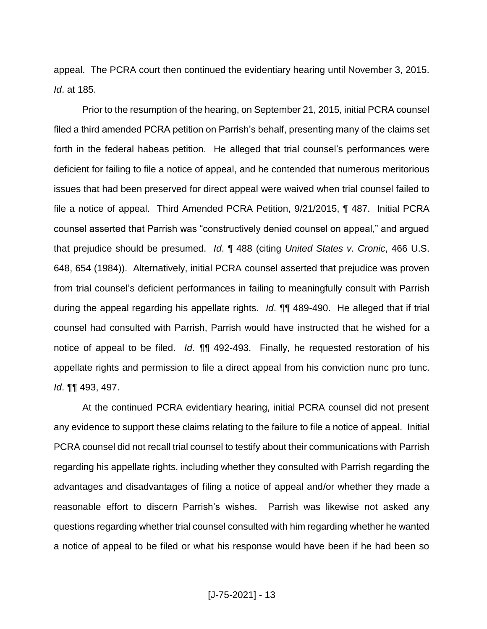appeal. The PCRA court then continued the evidentiary hearing until November 3, 2015. *Id*. at 185.

Prior to the resumption of the hearing, on September 21, 2015, initial PCRA counsel filed a third amended PCRA petition on Parrish's behalf, presenting many of the claims set forth in the federal habeas petition. He alleged that trial counsel's performances were deficient for failing to file a notice of appeal, and he contended that numerous meritorious issues that had been preserved for direct appeal were waived when trial counsel failed to file a notice of appeal. Third Amended PCRA Petition, 9/21/2015, ¶ 487. Initial PCRA counsel asserted that Parrish was "constructively denied counsel on appeal," and argued that prejudice should be presumed. *Id*. ¶ 488 (citing *United States v. Cronic*, 466 U.S. 648, 654 (1984)). Alternatively, initial PCRA counsel asserted that prejudice was proven from trial counsel's deficient performances in failing to meaningfully consult with Parrish during the appeal regarding his appellate rights. *Id*. ¶¶ 489-490. He alleged that if trial counsel had consulted with Parrish, Parrish would have instructed that he wished for a notice of appeal to be filed. *Id*. *¶¶* 492-493. Finally, he requested restoration of his appellate rights and permission to file a direct appeal from his conviction nunc pro tunc. *Id*. ¶¶ 493, 497.

At the continued PCRA evidentiary hearing, initial PCRA counsel did not present any evidence to support these claims relating to the failure to file a notice of appeal. Initial PCRA counsel did not recall trial counsel to testify about their communications with Parrish regarding his appellate rights, including whether they consulted with Parrish regarding the advantages and disadvantages of filing a notice of appeal and/or whether they made a reasonable effort to discern Parrish's wishes. Parrish was likewise not asked any questions regarding whether trial counsel consulted with him regarding whether he wanted a notice of appeal to be filed or what his response would have been if he had been so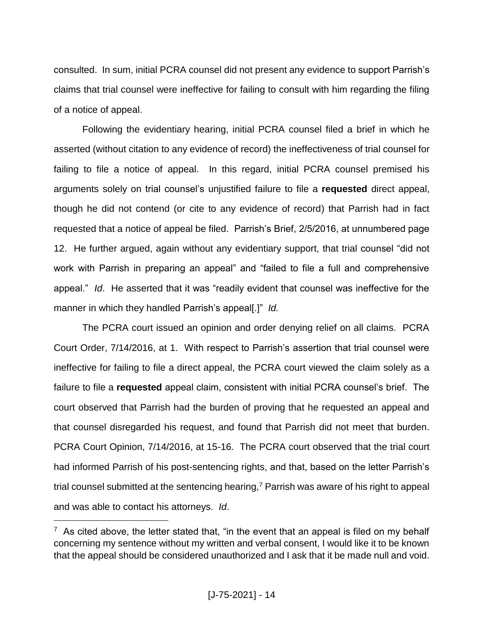consulted. In sum, initial PCRA counsel did not present any evidence to support Parrish's claims that trial counsel were ineffective for failing to consult with him regarding the filing of a notice of appeal.

Following the evidentiary hearing, initial PCRA counsel filed a brief in which he asserted (without citation to any evidence of record) the ineffectiveness of trial counsel for failing to file a notice of appeal. In this regard, initial PCRA counsel premised his arguments solely on trial counsel's unjustified failure to file a **requested** direct appeal, though he did not contend (or cite to any evidence of record) that Parrish had in fact requested that a notice of appeal be filed. Parrish's Brief, 2/5/2016, at unnumbered page 12. He further argued, again without any evidentiary support, that trial counsel "did not work with Parrish in preparing an appeal" and "failed to file a full and comprehensive appeal." *Id*. He asserted that it was "readily evident that counsel was ineffective for the manner in which they handled Parrish's appeal[.]" *Id.*

The PCRA court issued an opinion and order denying relief on all claims. PCRA Court Order, 7/14/2016, at 1. With respect to Parrish's assertion that trial counsel were ineffective for failing to file a direct appeal, the PCRA court viewed the claim solely as a failure to file a **requested** appeal claim, consistent with initial PCRA counsel's brief. The court observed that Parrish had the burden of proving that he requested an appeal and that counsel disregarded his request, and found that Parrish did not meet that burden. PCRA Court Opinion, 7/14/2016, at 15-16. The PCRA court observed that the trial court had informed Parrish of his post-sentencing rights, and that, based on the letter Parrish's trial counsel submitted at the sentencing hearing,<sup>7</sup> Parrish was aware of his right to appeal and was able to contact his attorneys. *Id*.

 $7$  As cited above, the letter stated that, "in the event that an appeal is filed on my behalf concerning my sentence without my written and verbal consent, I would like it to be known that the appeal should be considered unauthorized and I ask that it be made null and void.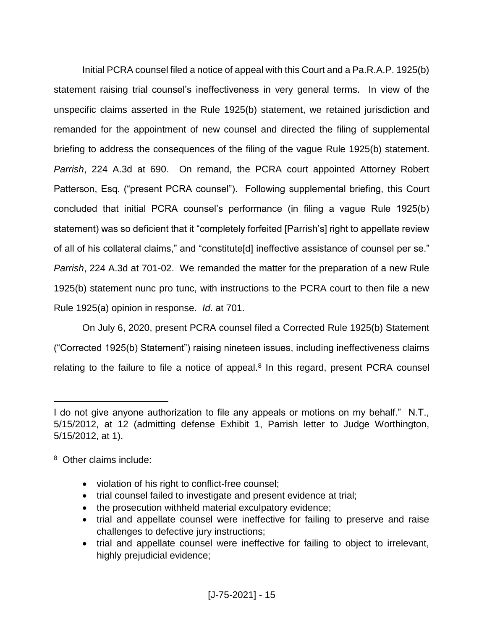Initial PCRA counsel filed a notice of appeal with this Court and a Pa.R.A.P. 1925(b) statement raising trial counsel's ineffectiveness in very general terms. In view of the unspecific claims asserted in the Rule 1925(b) statement, we retained jurisdiction and remanded for the appointment of new counsel and directed the filing of supplemental briefing to address the consequences of the filing of the vague Rule 1925(b) statement. *Parrish*, 224 A.3d at 690. On remand, the PCRA court appointed Attorney Robert Patterson, Esq. ("present PCRA counsel"). Following supplemental briefing, this Court concluded that initial PCRA counsel's performance (in filing a vague Rule 1925(b) statement) was so deficient that it "completely forfeited [Parrish's] right to appellate review of all of his collateral claims," and "constitute[d] ineffective assistance of counsel per se." *Parrish*, 224 A.3d at 701-02. We remanded the matter for the preparation of a new Rule 1925(b) statement nunc pro tunc, with instructions to the PCRA court to then file a new Rule 1925(a) opinion in response. *Id*. at 701.

On July 6, 2020, present PCRA counsel filed a Corrected Rule 1925(b) Statement ("Corrected 1925(b) Statement") raising nineteen issues, including ineffectiveness claims relating to the failure to file a notice of appeal. $8$  In this regard, present PCRA counsel

- violation of his right to conflict-free counsel;
- trial counsel failed to investigate and present evidence at trial;
- the prosecution withheld material exculpatory evidence;
- trial and appellate counsel were ineffective for failing to preserve and raise challenges to defective jury instructions;
- trial and appellate counsel were ineffective for failing to object to irrelevant, highly prejudicial evidence;

I do not give anyone authorization to file any appeals or motions on my behalf." N.T., 5/15/2012, at 12 (admitting defense Exhibit 1, Parrish letter to Judge Worthington, 5/15/2012, at 1).

<sup>8</sup> Other claims include: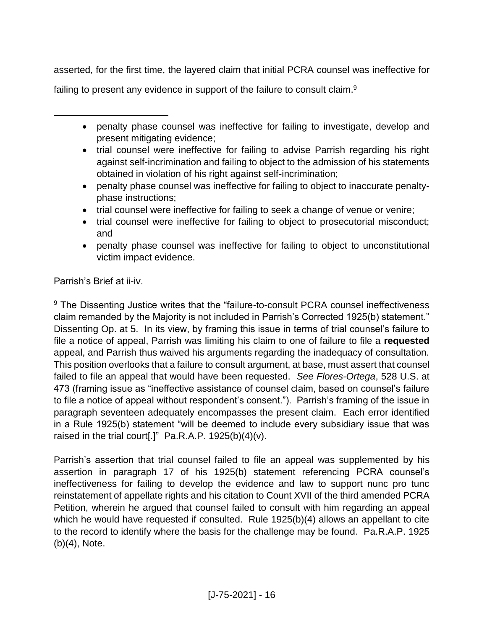asserted, for the first time, the layered claim that initial PCRA counsel was ineffective for failing to present any evidence in support of the failure to consult claim.<sup>9</sup>

- penalty phase counsel was ineffective for failing to investigate, develop and present mitigating evidence;
- trial counsel were ineffective for failing to advise Parrish regarding his right against self-incrimination and failing to object to the admission of his statements obtained in violation of his right against self-incrimination;
- penalty phase counsel was ineffective for failing to object to inaccurate penaltyphase instructions;
- trial counsel were ineffective for failing to seek a change of venue or venire;
- trial counsel were ineffective for failing to object to prosecutorial misconduct; and
- penalty phase counsel was ineffective for failing to object to unconstitutional victim impact evidence.

Parrish's Brief at ii-iv.

l

<sup>9</sup> The Dissenting Justice writes that the "failure-to-consult PCRA counsel ineffectiveness claim remanded by the Majority is not included in Parrish's Corrected 1925(b) statement." Dissenting Op. at 5. In its view, by framing this issue in terms of trial counsel's failure to file a notice of appeal, Parrish was limiting his claim to one of failure to file a **requested** appeal, and Parrish thus waived his arguments regarding the inadequacy of consultation. This position overlooks that a failure to consult argument, at base, must assert that counsel failed to file an appeal that would have been requested. *See Flores-Ortega*, 528 U.S. at 473 (framing issue as "ineffective assistance of counsel claim, based on counsel's failure to file a notice of appeal without respondent's consent."). Parrish's framing of the issue in paragraph seventeen adequately encompasses the present claim. Each error identified in a Rule 1925(b) statement "will be deemed to include every subsidiary issue that was raised in the trial court[.]"  $Pa.R.A.P. 1925(b)(4)(v)$ .

Parrish's assertion that trial counsel failed to file an appeal was supplemented by his assertion in paragraph 17 of his 1925(b) statement referencing PCRA counsel's ineffectiveness for failing to develop the evidence and law to support nunc pro tunc reinstatement of appellate rights and his citation to Count XVII of the third amended PCRA Petition, wherein he argued that counsel failed to consult with him regarding an appeal which he would have requested if consulted. Rule 1925(b)(4) allows an appellant to cite to the record to identify where the basis for the challenge may be found. Pa.R.A.P. 1925 (b)(4), Note.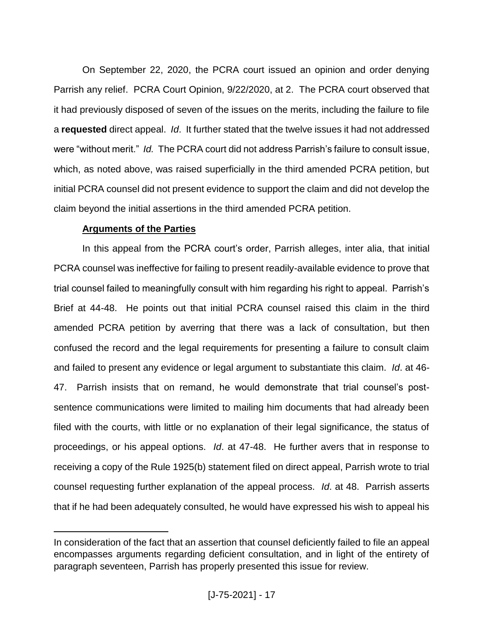On September 22, 2020, the PCRA court issued an opinion and order denying Parrish any relief. PCRA Court Opinion, 9/22/2020, at 2. The PCRA court observed that it had previously disposed of seven of the issues on the merits, including the failure to file a **requested** direct appeal. *Id*. It further stated that the twelve issues it had not addressed were "without merit." *Id.* The PCRA court did not address Parrish's failure to consult issue, which, as noted above, was raised superficially in the third amended PCRA petition, but initial PCRA counsel did not present evidence to support the claim and did not develop the claim beyond the initial assertions in the third amended PCRA petition.

## **Arguments of the Parties**

l

In this appeal from the PCRA court's order, Parrish alleges, inter alia, that initial PCRA counsel was ineffective for failing to present readily-available evidence to prove that trial counsel failed to meaningfully consult with him regarding his right to appeal. Parrish's Brief at 44-48. He points out that initial PCRA counsel raised this claim in the third amended PCRA petition by averring that there was a lack of consultation, but then confused the record and the legal requirements for presenting a failure to consult claim and failed to present any evidence or legal argument to substantiate this claim. *Id*. at 46- 47. Parrish insists that on remand, he would demonstrate that trial counsel's postsentence communications were limited to mailing him documents that had already been filed with the courts, with little or no explanation of their legal significance, the status of proceedings, or his appeal options. *Id*. at 47-48. He further avers that in response to receiving a copy of the Rule 1925(b) statement filed on direct appeal, Parrish wrote to trial counsel requesting further explanation of the appeal process. *Id*. at 48. Parrish asserts that if he had been adequately consulted, he would have expressed his wish to appeal his

In consideration of the fact that an assertion that counsel deficiently failed to file an appeal encompasses arguments regarding deficient consultation, and in light of the entirety of paragraph seventeen, Parrish has properly presented this issue for review.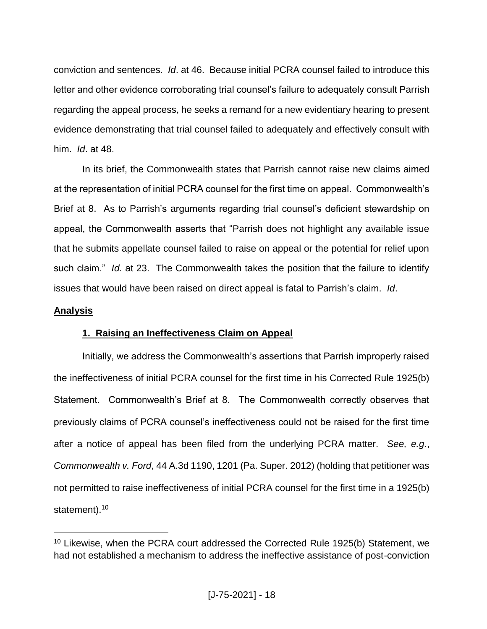conviction and sentences. *Id*. at 46. Because initial PCRA counsel failed to introduce this letter and other evidence corroborating trial counsel's failure to adequately consult Parrish regarding the appeal process, he seeks a remand for a new evidentiary hearing to present evidence demonstrating that trial counsel failed to adequately and effectively consult with him. *Id*. at 48.

In its brief, the Commonwealth states that Parrish cannot raise new claims aimed at the representation of initial PCRA counsel for the first time on appeal. Commonwealth's Brief at 8. As to Parrish's arguments regarding trial counsel's deficient stewardship on appeal, the Commonwealth asserts that "Parrish does not highlight any available issue that he submits appellate counsel failed to raise on appeal or the potential for relief upon such claim." *Id.* at 23. The Commonwealth takes the position that the failure to identify issues that would have been raised on direct appeal is fatal to Parrish's claim. *Id*.

## **Analysis**

l

## **1. Raising an Ineffectiveness Claim on Appeal**

Initially, we address the Commonwealth's assertions that Parrish improperly raised the ineffectiveness of initial PCRA counsel for the first time in his Corrected Rule 1925(b) Statement. Commonwealth's Brief at 8. The Commonwealth correctly observes that previously claims of PCRA counsel's ineffectiveness could not be raised for the first time after a notice of appeal has been filed from the underlying PCRA matter. *See, e.g.*, *Commonwealth v. Ford*, 44 A.3d 1190, 1201 (Pa. Super. 2012) (holding that petitioner was not permitted to raise ineffectiveness of initial PCRA counsel for the first time in a 1925(b) statement).<sup>10</sup>

<sup>&</sup>lt;sup>10</sup> Likewise, when the PCRA court addressed the Corrected Rule 1925(b) Statement, we had not established a mechanism to address the ineffective assistance of post-conviction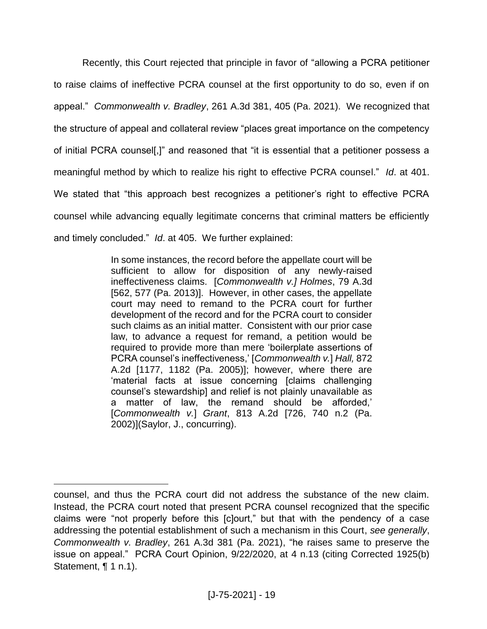Recently, this Court rejected that principle in favor of "allowing a PCRA petitioner to raise claims of ineffective PCRA counsel at the first opportunity to do so, even if on appeal." *Commonwealth v. Bradley*, 261 A.3d 381, 405 (Pa. 2021). We recognized that the structure of appeal and collateral review "places great importance on the competency of initial PCRA counsel[,]" and reasoned that "it is essential that a petitioner possess a meaningful method by which to realize his right to effective PCRA counsel." *Id*. at 401. We stated that "this approach best recognizes a petitioner's right to effective PCRA counsel while advancing equally legitimate concerns that criminal matters be efficiently and timely concluded." *Id*. at 405. We further explained:

> In some instances, the record before the appellate court will be sufficient to allow for disposition of any newly-raised ineffectiveness claims. [*Commonwealth v.] Holmes*, 79 A.3d [562, 577 (Pa. 2013)]. However, in other cases, the appellate court may need to remand to the PCRA court for further development of the record and for the PCRA court to consider such claims as an initial matter. Consistent with our prior case law, to advance a request for remand, a petition would be required to provide more than mere 'boilerplate assertions of PCRA counsel's ineffectiveness,' [*Commonwealth v.*] *Hall,* 872 A.2d [1177, 1182 (Pa. 2005)]; however, where there are 'material facts at issue concerning [claims challenging counsel's stewardship] and relief is not plainly unavailable as a matter of law, the remand should be afforded,' [*Commonwealth v.*] *Grant*, 813 A.2d [726, 740 n.2 (Pa. 2002)](Saylor, J., concurring).

counsel, and thus the PCRA court did not address the substance of the new claim. Instead, the PCRA court noted that present PCRA counsel recognized that the specific claims were "not properly before this [c]ourt," but that with the pendency of a case addressing the potential establishment of such a mechanism in this Court, *see generally*, *Commonwealth v. Bradley*, 261 A.3d 381 (Pa. 2021), "he raises same to preserve the issue on appeal." PCRA Court Opinion, 9/22/2020, at 4 n.13 (citing Corrected 1925(b) Statement, ¶ 1 n.1).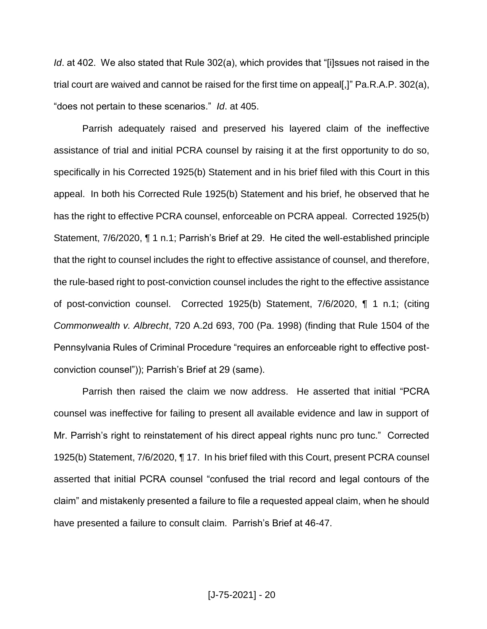*Id*. at 402. We also stated that Rule 302(a), which provides that "[i]ssues not raised in the trial court are waived and cannot be raised for the first time on appeal[,]" Pa.R.A.P. 302(a), "does not pertain to these scenarios." *Id*. at 405.

Parrish adequately raised and preserved his layered claim of the ineffective assistance of trial and initial PCRA counsel by raising it at the first opportunity to do so, specifically in his Corrected 1925(b) Statement and in his brief filed with this Court in this appeal. In both his Corrected Rule 1925(b) Statement and his brief, he observed that he has the right to effective PCRA counsel, enforceable on PCRA appeal. Corrected 1925(b) Statement, 7/6/2020, ¶ 1 n.1; Parrish's Brief at 29. He cited the well-established principle that the right to counsel includes the right to effective assistance of counsel, and therefore, the rule-based right to post-conviction counsel includes the right to the effective assistance of post-conviction counsel. Corrected 1925(b) Statement, 7/6/2020, ¶ 1 n.1; (citing *Commonwealth v. Albrecht*, 720 A.2d 693, 700 (Pa. 1998) (finding that Rule 1504 of the Pennsylvania Rules of Criminal Procedure "requires an enforceable right to effective postconviction counsel")); Parrish's Brief at 29 (same).

Parrish then raised the claim we now address. He asserted that initial "PCRA counsel was ineffective for failing to present all available evidence and law in support of Mr. Parrish's right to reinstatement of his direct appeal rights nunc pro tunc." Corrected 1925(b) Statement, 7/6/2020, ¶ 17. In his brief filed with this Court, present PCRA counsel asserted that initial PCRA counsel "confused the trial record and legal contours of the claim" and mistakenly presented a failure to file a requested appeal claim, when he should have presented a failure to consult claim. Parrish's Brief at 46-47.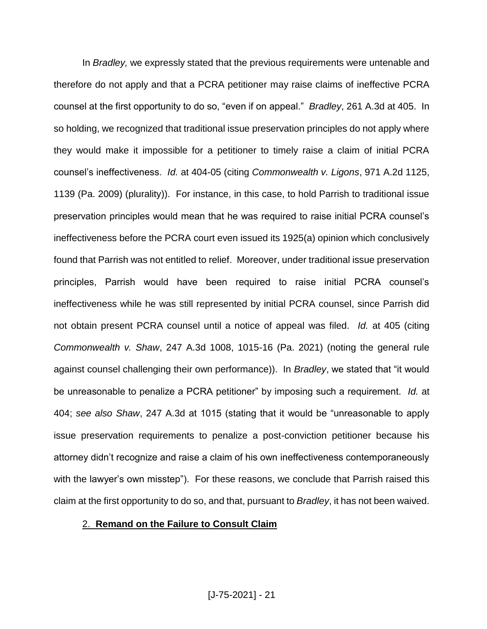In *Bradley,* we expressly stated that the previous requirements were untenable and therefore do not apply and that a PCRA petitioner may raise claims of ineffective PCRA counsel at the first opportunity to do so, "even if on appeal." *Bradley*, 261 A.3d at 405. In so holding, we recognized that traditional issue preservation principles do not apply where they would make it impossible for a petitioner to timely raise a claim of initial PCRA counsel's ineffectiveness. *Id.* at 404-05 (citing *Commonwealth v. Ligons*, 971 A.2d 1125, 1139 (Pa. 2009) (plurality)). For instance, in this case, to hold Parrish to traditional issue preservation principles would mean that he was required to raise initial PCRA counsel's ineffectiveness before the PCRA court even issued its 1925(a) opinion which conclusively found that Parrish was not entitled to relief. Moreover, under traditional issue preservation principles, Parrish would have been required to raise initial PCRA counsel's ineffectiveness while he was still represented by initial PCRA counsel, since Parrish did not obtain present PCRA counsel until a notice of appeal was filed. *Id.* at 405 (citing *Commonwealth v. Shaw*, 247 A.3d 1008, 1015-16 (Pa. 2021) (noting the general rule against counsel challenging their own performance)). In *Bradley*, we stated that "it would be unreasonable to penalize a PCRA petitioner" by imposing such a requirement. *Id.* at 404; *see also Shaw*, 247 A.3d at 1015 (stating that it would be "unreasonable to apply issue preservation requirements to penalize a post-conviction petitioner because his attorney didn't recognize and raise a claim of his own ineffectiveness contemporaneously with the lawyer's own misstep"). For these reasons, we conclude that Parrish raised this claim at the first opportunity to do so, and that, pursuant to *Bradley*, it has not been waived.

### 2. **Remand on the Failure to Consult Claim**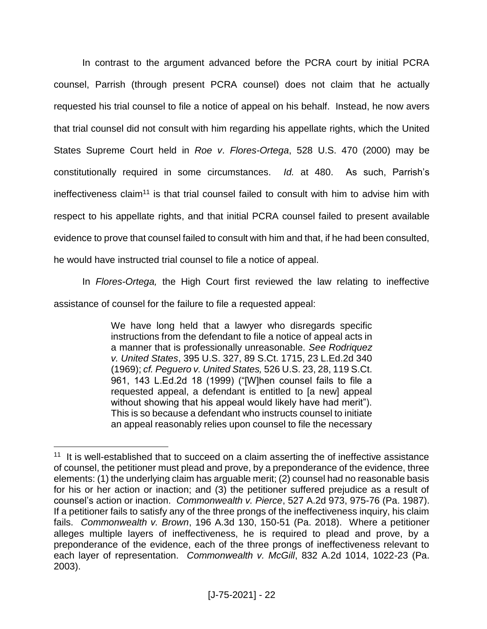In contrast to the argument advanced before the PCRA court by initial PCRA counsel, Parrish (through present PCRA counsel) does not claim that he actually requested his trial counsel to file a notice of appeal on his behalf. Instead, he now avers that trial counsel did not consult with him regarding his appellate rights, which the United States Supreme Court held in *Roe v*. *Flores-Ortega*, 528 U.S. 470 (2000) may be constitutionally required in some circumstances. *Id.* at 480. As such, Parrish's ineffectiveness claim<sup>11</sup> is that trial counsel failed to consult with him to advise him with respect to his appellate rights, and that initial PCRA counsel failed to present available evidence to prove that counsel failed to consult with him and that, if he had been consulted, he would have instructed trial counsel to file a notice of appeal.

In *Flores-Ortega,* the High Court first reviewed the law relating to ineffective

assistance of counsel for the failure to file a requested appeal:

l

We have long held that a lawyer who disregards specific instructions from the defendant to file a notice of appeal acts in a manner that is professionally unreasonable. *See Rodriquez v. United States*, 395 U.S. 327, 89 S.Ct. 1715, 23 L.Ed.2d 340 (1969); *cf. Peguero v. United States,* 526 U.S. 23, 28, 119 S.Ct. 961, 143 L.Ed.2d 18 (1999) ("[W]hen counsel fails to file a requested appeal, a defendant is entitled to [a new] appeal without showing that his appeal would likely have had merit"). This is so because a defendant who instructs counsel to initiate an appeal reasonably relies upon counsel to file the necessary

<sup>&</sup>lt;sup>11</sup> It is well-established that to succeed on a claim asserting the of ineffective assistance of counsel, the petitioner must plead and prove, by a preponderance of the evidence, three elements: (1) the underlying claim has arguable merit; (2) counsel had no reasonable basis for his or her action or inaction; and (3) the petitioner suffered prejudice as a result of counsel's action or inaction. *Commonwealth v. Pierce*, 527 A.2d 973, 975-76 (Pa. 1987). If a petitioner fails to satisfy any of the three prongs of the ineffectiveness inquiry, his claim fails. *Commonwealth v. Brown*, 196 A.3d 130, 150-51 (Pa. 2018). Where a petitioner alleges multiple layers of ineffectiveness, he is required to plead and prove, by a preponderance of the evidence, each of the three prongs of ineffectiveness relevant to each layer of representation. *Commonwealth v. McGill*, 832 A.2d 1014, 1022-23 (Pa. 2003).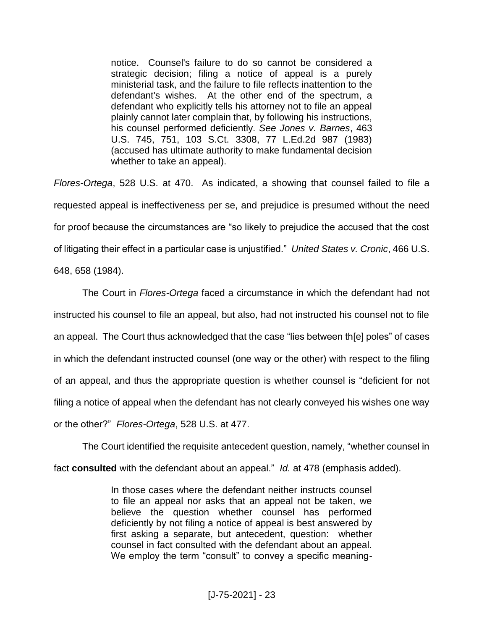notice. Counsel's failure to do so cannot be considered a strategic decision; filing a notice of appeal is a purely ministerial task, and the failure to file reflects inattention to the defendant's wishes. At the other end of the spectrum, a defendant who explicitly tells his attorney not to file an appeal plainly cannot later complain that, by following his instructions, his counsel performed deficiently. *See Jones v. Barnes*, 463 U.S. 745, 751, 103 S.Ct. 3308, 77 L.Ed.2d 987 (1983) (accused has ultimate authority to make fundamental decision whether to take an appeal).

*Flores-Ortega*, 528 U.S. at 470. As indicated, a showing that counsel failed to file a requested appeal is ineffectiveness per se, and prejudice is presumed without the need for proof because the circumstances are "so likely to prejudice the accused that the cost of litigating their effect in a particular case is unjustified." *United States v. Cronic*, 466 U.S. 648, 658 (1984).

The Court in *Flores-Ortega* faced a circumstance in which the defendant had not instructed his counsel to file an appeal, but also, had not instructed his counsel not to file an appeal. The Court thus acknowledged that the case "lies between th[e] poles" of cases in which the defendant instructed counsel (one way or the other) with respect to the filing of an appeal, and thus the appropriate question is whether counsel is "deficient for not filing a notice of appeal when the defendant has not clearly conveyed his wishes one way or the other?" *Flores-Ortega*, 528 U.S. at 477.

The Court identified the requisite antecedent question, namely, "whether counsel in fact **consulted** with the defendant about an appeal." *Id.* at 478 (emphasis added).

> In those cases where the defendant neither instructs counsel to file an appeal nor asks that an appeal not be taken, we believe the question whether counsel has performed deficiently by not filing a notice of appeal is best answered by first asking a separate, but antecedent, question: whether counsel in fact consulted with the defendant about an appeal. We employ the term "consult" to convey a specific meaning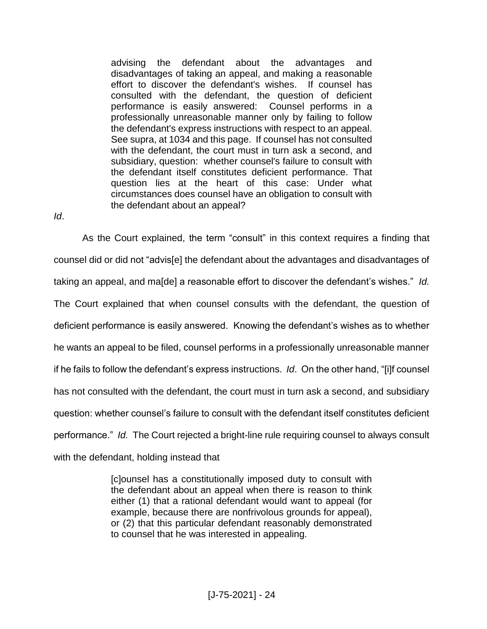advising the defendant about the advantages and disadvantages of taking an appeal, and making a reasonable effort to discover the defendant's wishes. If counsel has consulted with the defendant, the question of deficient performance is easily answered: Counsel performs in a professionally unreasonable manner only by failing to follow the defendant's express instructions with respect to an appeal. See supra, at 1034 and this page. If counsel has not consulted with the defendant, the court must in turn ask a second, and subsidiary, question: whether counsel's failure to consult with the defendant itself constitutes deficient performance. That question lies at the heart of this case: Under what circumstances does counsel have an obligation to consult with the defendant about an appeal?

*Id*.

As the Court explained, the term "consult" in this context requires a finding that counsel did or did not "advis[e] the defendant about the advantages and disadvantages of taking an appeal, and ma[de] a reasonable effort to discover the defendant's wishes." *Id.*  The Court explained that when counsel consults with the defendant, the question of deficient performance is easily answered. Knowing the defendant's wishes as to whether he wants an appeal to be filed, counsel performs in a professionally unreasonable manner if he fails to follow the defendant's express instructions. *Id*. On the other hand, "[i]f counsel has not consulted with the defendant, the court must in turn ask a second, and subsidiary question: whether counsel's failure to consult with the defendant itself constitutes deficient performance." *Id.* The Court rejected a bright-line rule requiring counsel to always consult with the defendant, holding instead that

> [c]ounsel has a constitutionally imposed duty to consult with the defendant about an appeal when there is reason to think either (1) that a rational defendant would want to appeal (for example, because there are nonfrivolous grounds for appeal), or (2) that this particular defendant reasonably demonstrated to counsel that he was interested in appealing.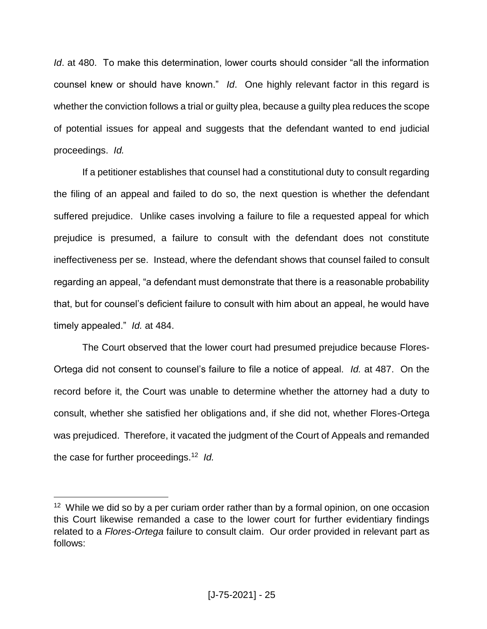*Id*. at 480. To make this determination, lower courts should consider "all the information counsel knew or should have known." *Id*. One highly relevant factor in this regard is whether the conviction follows a trial or guilty plea, because a guilty plea reduces the scope of potential issues for appeal and suggests that the defendant wanted to end judicial proceedings. *Id.* 

If a petitioner establishes that counsel had a constitutional duty to consult regarding the filing of an appeal and failed to do so, the next question is whether the defendant suffered prejudice. Unlike cases involving a failure to file a requested appeal for which prejudice is presumed, a failure to consult with the defendant does not constitute ineffectiveness per se. Instead, where the defendant shows that counsel failed to consult regarding an appeal, "a defendant must demonstrate that there is a reasonable probability that, but for counsel's deficient failure to consult with him about an appeal, he would have timely appealed." *Id.* at 484.

The Court observed that the lower court had presumed prejudice because Flores-Ortega did not consent to counsel's failure to file a notice of appeal. *Id.* at 487. On the record before it, the Court was unable to determine whether the attorney had a duty to consult, whether she satisfied her obligations and, if she did not, whether Flores-Ortega was prejudiced. Therefore, it vacated the judgment of the Court of Appeals and remanded the case for further proceedings.<sup>12</sup> *Id.*

<sup>&</sup>lt;sup>12</sup> While we did so by a per curiam order rather than by a formal opinion, on one occasion this Court likewise remanded a case to the lower court for further evidentiary findings related to a *Flores-Ortega* failure to consult claim. Our order provided in relevant part as follows: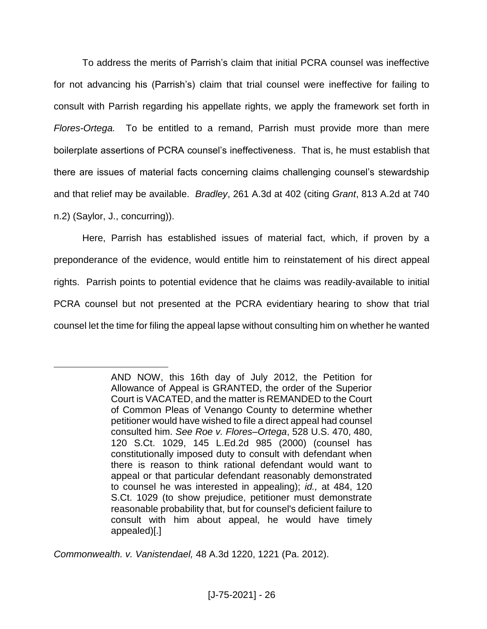To address the merits of Parrish's claim that initial PCRA counsel was ineffective for not advancing his (Parrish's) claim that trial counsel were ineffective for failing to consult with Parrish regarding his appellate rights, we apply the framework set forth in *Flores-Ortega.* To be entitled to a remand, Parrish must provide more than mere boilerplate assertions of PCRA counsel's ineffectiveness. That is, he must establish that there are issues of material facts concerning claims challenging counsel's stewardship and that relief may be available. *Bradley*, 261 A.3d at 402 (citing *Grant*, 813 A.2d at 740 n.2) (Saylor, J., concurring)).

Here, Parrish has established issues of material fact, which, if proven by a preponderance of the evidence, would entitle him to reinstatement of his direct appeal rights. Parrish points to potential evidence that he claims was readily-available to initial PCRA counsel but not presented at the PCRA evidentiary hearing to show that trial counsel let the time for filing the appeal lapse without consulting him on whether he wanted

*Commonwealth. v. Vanistendael,* 48 A.3d 1220, 1221 (Pa. 2012).

AND NOW, this 16th day of July 2012, the Petition for Allowance of Appeal is GRANTED, the order of the Superior Court is VACATED, and the matter is REMANDED to the Court of Common Pleas of Venango County to determine whether petitioner would have wished to file a direct appeal had counsel consulted him. *See Roe v. Flores–Ortega*, 528 U.S. 470, 480, 120 S.Ct. 1029, 145 L.Ed.2d 985 (2000) (counsel has constitutionally imposed duty to consult with defendant when there is reason to think rational defendant would want to appeal or that particular defendant reasonably demonstrated to counsel he was interested in appealing); *id.,* at 484, 120 S.Ct. 1029 (to show prejudice, petitioner must demonstrate reasonable probability that, but for counsel's deficient failure to consult with him about appeal, he would have timely appealed)[.]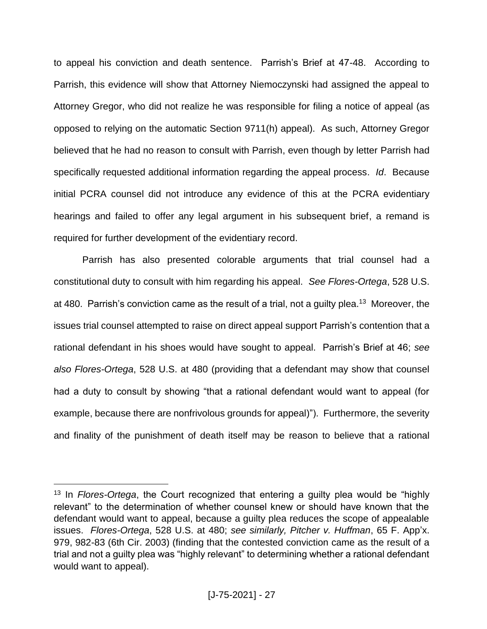to appeal his conviction and death sentence. Parrish's Brief at 47-48. According to Parrish, this evidence will show that Attorney Niemoczynski had assigned the appeal to Attorney Gregor, who did not realize he was responsible for filing a notice of appeal (as opposed to relying on the automatic Section 9711(h) appeal). As such, Attorney Gregor believed that he had no reason to consult with Parrish, even though by letter Parrish had specifically requested additional information regarding the appeal process. *Id*. Because initial PCRA counsel did not introduce any evidence of this at the PCRA evidentiary hearings and failed to offer any legal argument in his subsequent brief, a remand is required for further development of the evidentiary record.

Parrish has also presented colorable arguments that trial counsel had a constitutional duty to consult with him regarding his appeal. *See Flores-Ortega*, 528 U.S. at 480. Parrish's conviction came as the result of a trial, not a guilty plea.<sup>13</sup> Moreover, the issues trial counsel attempted to raise on direct appeal support Parrish's contention that a rational defendant in his shoes would have sought to appeal. Parrish's Brief at 46; *see also Flores-Ortega*, 528 U.S. at 480 (providing that a defendant may show that counsel had a duty to consult by showing "that a rational defendant would want to appeal (for example, because there are nonfrivolous grounds for appeal)"). Furthermore, the severity and finality of the punishment of death itself may be reason to believe that a rational

<sup>13</sup> In *Flores-Ortega*, the Court recognized that entering a guilty plea would be "highly relevant" to the determination of whether counsel knew or should have known that the defendant would want to appeal, because a guilty plea reduces the scope of appealable issues. *Flores-Ortega*, 528 U.S. at 480; *see similarly, Pitcher v. Huffman*, 65 F. App'x. 979, 982-83 (6th Cir. 2003) (finding that the contested conviction came as the result of a trial and not a guilty plea was "highly relevant" to determining whether a rational defendant would want to appeal).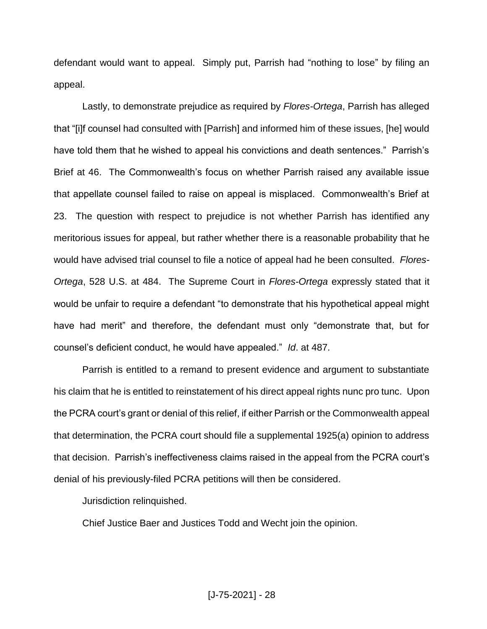defendant would want to appeal. Simply put, Parrish had "nothing to lose" by filing an appeal.

Lastly, to demonstrate prejudice as required by *Flores-Ortega*, Parrish has alleged that "[i]f counsel had consulted with [Parrish] and informed him of these issues, [he] would have told them that he wished to appeal his convictions and death sentences." Parrish's Brief at 46. The Commonwealth's focus on whether Parrish raised any available issue that appellate counsel failed to raise on appeal is misplaced. Commonwealth's Brief at 23. The question with respect to prejudice is not whether Parrish has identified any meritorious issues for appeal, but rather whether there is a reasonable probability that he would have advised trial counsel to file a notice of appeal had he been consulted. *Flores-Ortega*, 528 U.S. at 484. The Supreme Court in *Flores-Ortega* expressly stated that it would be unfair to require a defendant "to demonstrate that his hypothetical appeal might have had merit" and therefore, the defendant must only "demonstrate that, but for counsel's deficient conduct, he would have appealed." *Id*. at 487.

Parrish is entitled to a remand to present evidence and argument to substantiate his claim that he is entitled to reinstatement of his direct appeal rights nunc pro tunc. Upon the PCRA court's grant or denial of this relief, if either Parrish or the Commonwealth appeal that determination, the PCRA court should file a supplemental 1925(a) opinion to address that decision. Parrish's ineffectiveness claims raised in the appeal from the PCRA court's denial of his previously-filed PCRA petitions will then be considered.

Jurisdiction relinquished.

Chief Justice Baer and Justices Todd and Wecht join the opinion.